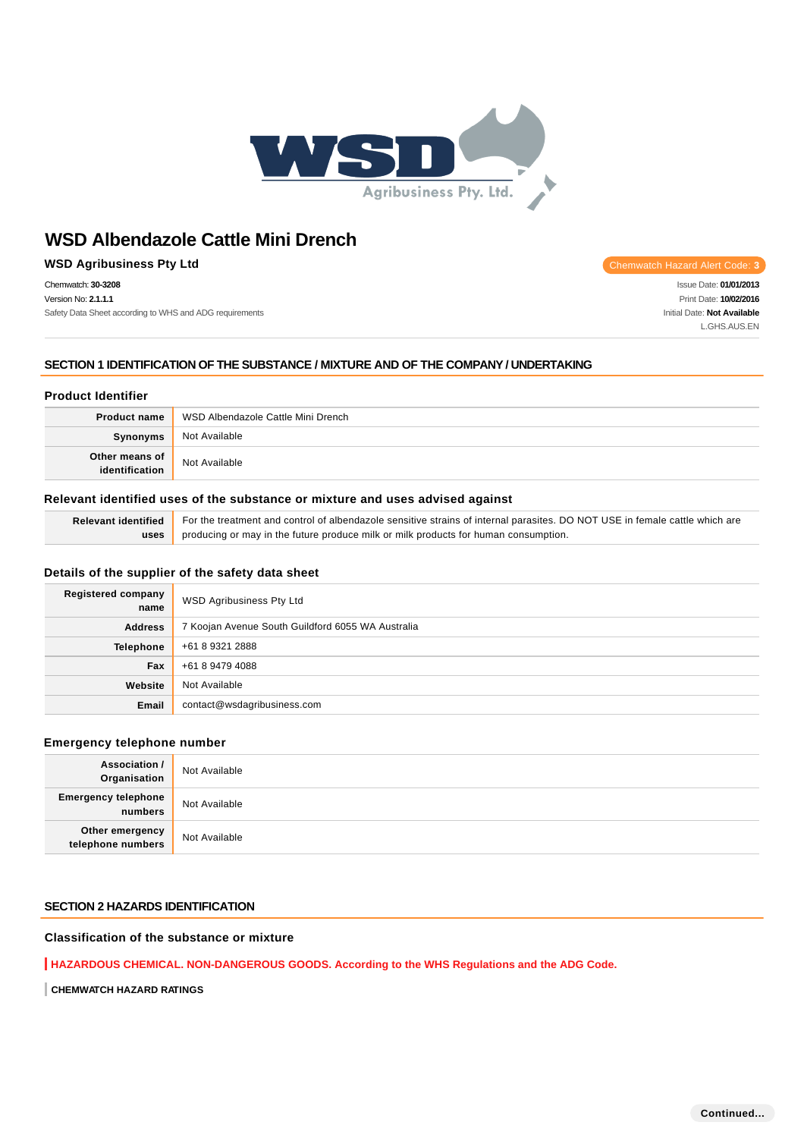

# **WSD Agribusiness Pty Ltd Chemwatch Hazard Alert Code: 3**

Chemwatch: **30-3208** Version No: **2.1.1.1** Safety Data Sheet according to WHS and ADG requirements

Issue Date: **01/01/2013** Print Date: **10/02/2016** Initial Date: **Not Available** L.GHS.AUS.EN

## **SECTION 1 IDENTIFICATION OF THE SUBSTANCE / MIXTURE AND OF THE COMPANY / UNDERTAKING**

# **Product Identifier**

| <b>Product name</b>              | WSD Albendazole Cattle Mini Drench |  |
|----------------------------------|------------------------------------|--|
| Synonyms                         | Not Available                      |  |
| Other means of<br>identification | Not Available                      |  |

### **Relevant identified uses of the substance or mixture and uses advised against**

| Relevant identified For the treatment and control of albendazole sensitive strains of internal parasites. DO NOT USE in female cattle which are |  |
|-------------------------------------------------------------------------------------------------------------------------------------------------|--|
| uses producing or may in the future produce milk or milk products for human consumption.                                                        |  |

### **Details of the supplier of the safety data sheet**

| <b>Registered company</b><br>name | WSD Agribusiness Pty Ltd                          |
|-----------------------------------|---------------------------------------------------|
| <b>Address</b>                    | 7 Koojan Avenue South Guildford 6055 WA Australia |
| Telephone                         | +61 8 9321 2888                                   |
| Fax                               | +61 8 9479 4088                                   |
| Website                           | Not Available                                     |
| Email                             | contact@wsdagribusiness.com                       |

### **Emergency telephone number**

| <b>Association /</b><br>Organisation  | Not Available |
|---------------------------------------|---------------|
| <b>Emergency telephone</b><br>numbers | Not Available |
| Other emergency<br>telephone numbers  | Not Available |

### **SECTION 2 HAZARDS IDENTIFICATION**

# **Classification of the substance or mixture**

**HAZARDOUS CHEMICAL. NON-DANGEROUS GOODS. According to the WHS Regulations and the ADG Code.**

**CHEMWATCH HAZARD RATINGS**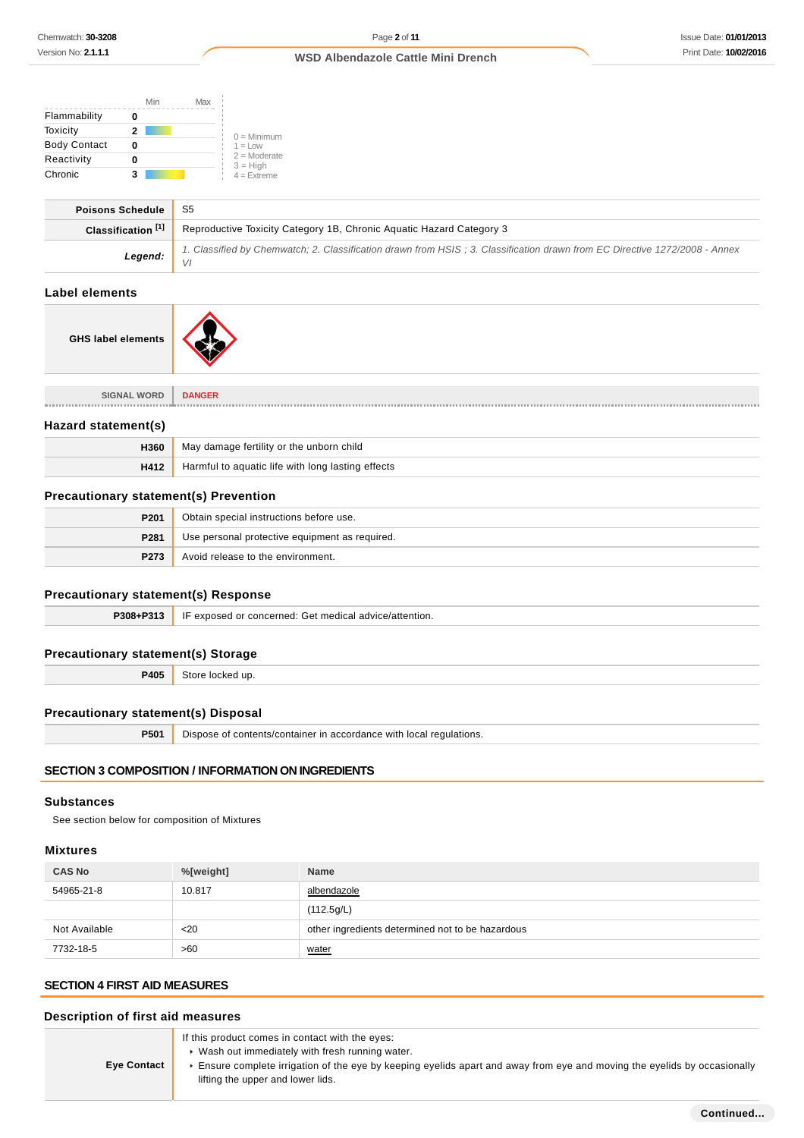| Min                                                                                   | Max                                                                                                                              |  |
|---------------------------------------------------------------------------------------|----------------------------------------------------------------------------------------------------------------------------------|--|
| Flammability<br>0                                                                     |                                                                                                                                  |  |
| Toxicity<br>$\overline{2}$                                                            |                                                                                                                                  |  |
| <b>Body Contact</b><br>0                                                              | $0 =$ Minimum<br>$1 = Low$                                                                                                       |  |
| Reactivity<br>0                                                                       | $2 =$ Moderate<br>$3 = High$                                                                                                     |  |
| Chronic<br>3                                                                          | $4 =$ Extreme                                                                                                                    |  |
| <b>Poisons Schedule</b>                                                               | S <sub>5</sub>                                                                                                                   |  |
| Classification <sup>[1]</sup>                                                         | Reproductive Toxicity Category 1B, Chronic Aquatic Hazard Category 3                                                             |  |
| Legend:                                                                               | 1. Classified by Chemwatch; 2. Classification drawn from HSIS; 3. Classification drawn from EC Directive 1272/2008 - Annex<br>VI |  |
| <b>Label elements</b>                                                                 |                                                                                                                                  |  |
| <b>GHS label elements</b>                                                             |                                                                                                                                  |  |
| <b>SIGNAL WORD</b>                                                                    | <b>DANGER</b>                                                                                                                    |  |
| Hazard statement(s)                                                                   |                                                                                                                                  |  |
| H360                                                                                  | May damage fertility or the unborn child                                                                                         |  |
| H412                                                                                  | Harmful to aquatic life with long lasting effects                                                                                |  |
| <b>Precautionary statement(s) Prevention</b>                                          |                                                                                                                                  |  |
| P201                                                                                  | Obtain special instructions before use.                                                                                          |  |
| P281                                                                                  | Use personal protective equipment as required.                                                                                   |  |
| P273                                                                                  | Avoid release to the environment.                                                                                                |  |
| <b>Precautionary statement(s) Response</b>                                            |                                                                                                                                  |  |
| P308+P313                                                                             | IF exposed or concerned: Get medical advice/attention.                                                                           |  |
| <b>Precautionary statement(s) Storage</b>                                             |                                                                                                                                  |  |
| P405                                                                                  | Store locked up.                                                                                                                 |  |
| <b>Precautionary statement(s) Disposal</b>                                            |                                                                                                                                  |  |
| P501                                                                                  | Dispose of contents/container in accordance with local regulations.                                                              |  |
|                                                                                       | <b>SECTION 3 COMPOSITION / INFORMATION ON INGREDIENTS</b>                                                                        |  |
| <b>Substances</b><br>See section below for composition of Mixtures<br><b>Mixtures</b> |                                                                                                                                  |  |

| <b>CAS No</b> | %[weight] | <b>Name</b>                                      |
|---------------|-----------|--------------------------------------------------|
| 54965-21-8    | 10.817    | albendazole                                      |
|               |           | (112.5g/L)                                       |
| Not Available | $20$      | other ingredients determined not to be hazardous |
| 7732-18-5     | >60       | water                                            |

# **SECTION 4 FIRST AID MEASURES**

| Description of first aid measures |                                                                                                                                                                                                                                                                     |
|-----------------------------------|---------------------------------------------------------------------------------------------------------------------------------------------------------------------------------------------------------------------------------------------------------------------|
| <b>Eye Contact</b>                | If this product comes in contact with the eyes:<br>• Wash out immediately with fresh running water.<br>Ensure complete irrigation of the eye by keeping eyelids apart and away from eye and moving the eyelids by occasionally<br>lifting the upper and lower lids. |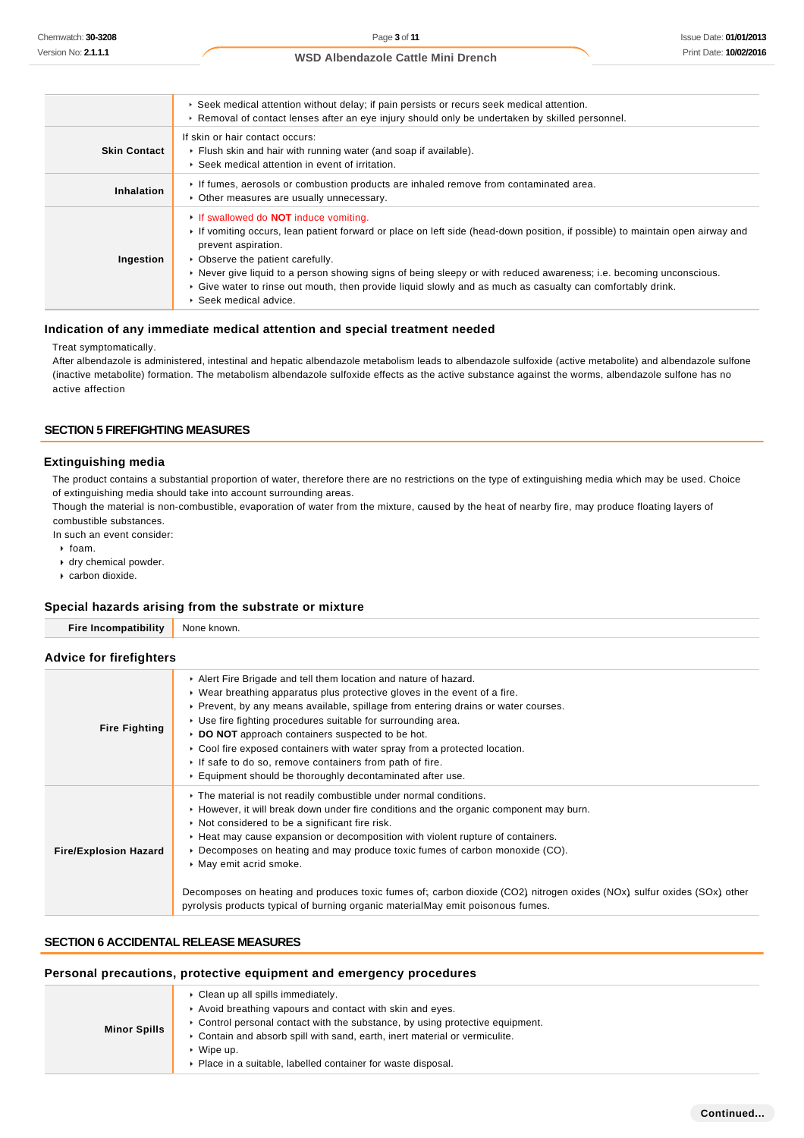|                     | ► Seek medical attention without delay; if pain persists or recurs seek medical attention.<br>► Removal of contact lenses after an eye injury should only be undertaken by skilled personnel.                                                                                                                                                                                                                                                                                                         |
|---------------------|-------------------------------------------------------------------------------------------------------------------------------------------------------------------------------------------------------------------------------------------------------------------------------------------------------------------------------------------------------------------------------------------------------------------------------------------------------------------------------------------------------|
| <b>Skin Contact</b> | If skin or hair contact occurs:<br>Flush skin and hair with running water (and soap if available).<br>▶ Seek medical attention in event of irritation.                                                                                                                                                                                                                                                                                                                                                |
| Inhalation          | If fumes, aerosols or combustion products are inhaled remove from contaminated area.<br>• Other measures are usually unnecessary.                                                                                                                                                                                                                                                                                                                                                                     |
| Ingestion           | If swallowed do <b>NOT</b> induce vomiting.<br>If vomiting occurs, lean patient forward or place on left side (head-down position, if possible) to maintain open airway and<br>prevent aspiration.<br>• Observe the patient carefully.<br>► Never give liquid to a person showing signs of being sleepy or with reduced awareness; i.e. becoming unconscious.<br>► Give water to rinse out mouth, then provide liquid slowly and as much as casualty can comfortably drink.<br>▶ Seek medical advice. |

#### **Indication of any immediate medical attention and special treatment needed**

#### Treat symptomatically.

After albendazole is administered, intestinal and hepatic albendazole metabolism leads to albendazole sulfoxide (active metabolite) and albendazole sulfone (inactive metabolite) formation. The metabolism albendazole sulfoxide effects as the active substance against the worms, albendazole sulfone has no active affection

### **SECTION 5 FIREFIGHTING MEASURES**

#### **Extinguishing media**

The product contains a substantial proportion of water, therefore there are no restrictions on the type of extinguishing media which may be used. Choice of extinguishing media should take into account surrounding areas.

Though the material is non-combustible, evaporation of water from the mixture, caused by the heat of nearby fire, may produce floating layers of combustible substances.

In such an event consider:

- $\rightarrow$  foam.
- dry chemical powder.
- carbon dioxide.

#### **Special hazards arising from the substrate or mixture**

| Special hazards arising from the substrate or mixture |                                                                                                                                                                                                                                                                                                                                                                                                                                                                                                                                                            |  |
|-------------------------------------------------------|------------------------------------------------------------------------------------------------------------------------------------------------------------------------------------------------------------------------------------------------------------------------------------------------------------------------------------------------------------------------------------------------------------------------------------------------------------------------------------------------------------------------------------------------------------|--|
| <b>Fire Incompatibility</b>                           | None known.                                                                                                                                                                                                                                                                                                                                                                                                                                                                                                                                                |  |
| <b>Advice for firefighters</b>                        |                                                                                                                                                                                                                                                                                                                                                                                                                                                                                                                                                            |  |
| <b>Fire Fighting</b>                                  | Alert Fire Brigade and tell them location and nature of hazard.<br>► Wear breathing apparatus plus protective gloves in the event of a fire.<br>► Prevent, by any means available, spillage from entering drains or water courses.<br>• Use fire fighting procedures suitable for surrounding area.<br>DO NOT approach containers suspected to be hot.<br>► Cool fire exposed containers with water spray from a protected location.<br>If safe to do so, remove containers from path of fire.<br>Equipment should be thoroughly decontaminated after use. |  |
| <b>Fire/Explosion Hazard</b>                          | The material is not readily combustible under normal conditions.<br>► However, it will break down under fire conditions and the organic component may burn.<br>▶ Not considered to be a significant fire risk.<br>► Heat may cause expansion or decomposition with violent rupture of containers.<br>► Decomposes on heating and may produce toxic fumes of carbon monoxide (CO).<br>• May emit acrid smoke.<br>Decomposes on heating and produces toxic fumes of; carbon dioxide (CO2) nitrogen oxides (NOx) sulfur oxides (SOx) other                    |  |

# **SECTION 6 ACCIDENTAL RELEASE MEASURES**

### **Personal precautions, protective equipment and emergency procedures**

| <b>Minor Spills</b> | • Clean up all spills immediately.                                                           |
|---------------------|----------------------------------------------------------------------------------------------|
|                     | Avoid breathing vapours and contact with skin and eyes.                                      |
|                     | $\triangleright$ Control personal contact with the substance, by using protective equipment. |
|                     | ► Contain and absorb spill with sand, earth, inert material or vermiculite.                  |
|                     | Wipe up.                                                                                     |
|                     | • Place in a suitable, labelled container for waste disposal.                                |

pyrolysis products typical of burning organic materialMay emit poisonous fumes.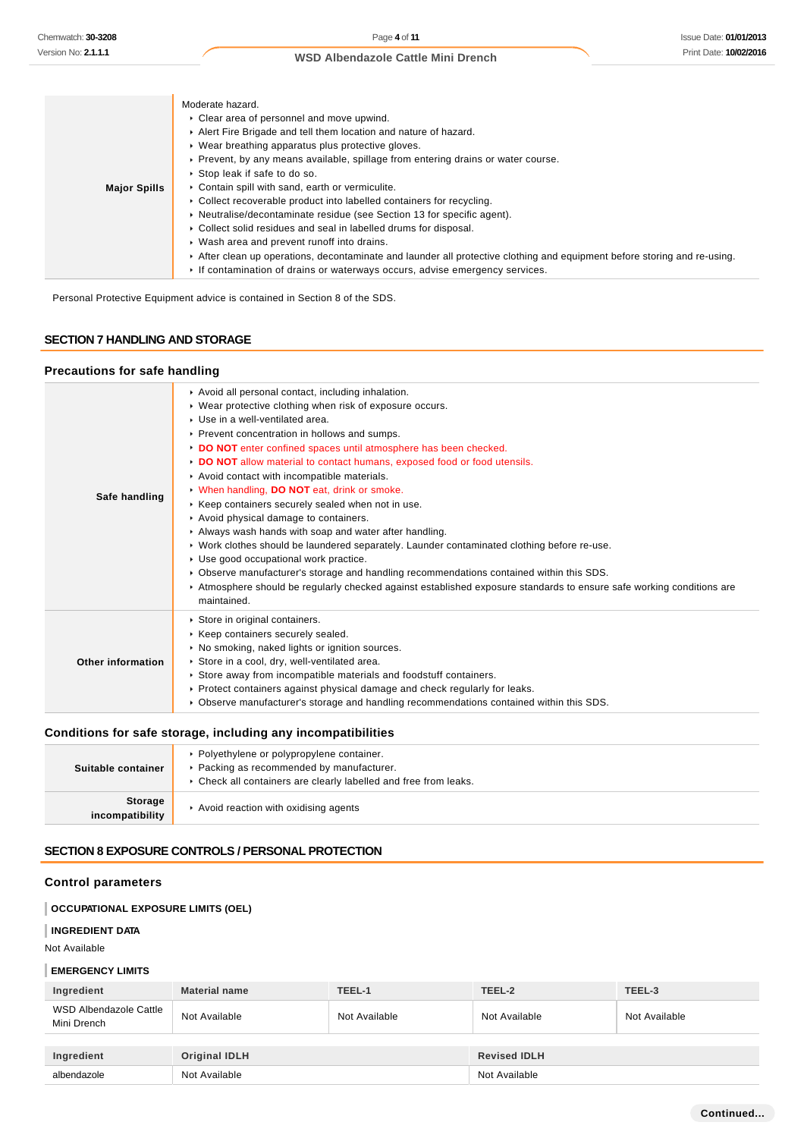|                     | Moderate hazard.                                                                                                        |
|---------------------|-------------------------------------------------------------------------------------------------------------------------|
|                     | • Clear area of personnel and move upwind.                                                                              |
|                     | Alert Fire Brigade and tell them location and nature of hazard.                                                         |
|                     | • Wear breathing apparatus plus protective gloves.                                                                      |
|                     | ▶ Prevent, by any means available, spillage from entering drains or water course.                                       |
|                     | ▶ Stop leak if safe to do so.                                                                                           |
| <b>Major Spills</b> | Contain spill with sand, earth or vermiculite.                                                                          |
|                     | • Collect recoverable product into labelled containers for recycling.                                                   |
|                     | • Neutralise/decontaminate residue (see Section 13 for specific agent).                                                 |
|                     | • Collect solid residues and seal in labelled drums for disposal.                                                       |
|                     | • Wash area and prevent runoff into drains.                                                                             |
|                     | After clean up operations, decontaminate and launder all protective clothing and equipment before storing and re-using. |
|                     | If contamination of drains or waterways occurs, advise emergency services.                                              |

Personal Protective Equipment advice is contained in Section 8 of the SDS.

# **SECTION 7 HANDLING AND STORAGE**

### **Precautions for safe handling**

| Safe handling     | Avoid all personal contact, including inhalation.<br>• Wear protective clothing when risk of exposure occurs.<br>• Use in a well-ventilated area.<br>▶ Prevent concentration in hollows and sumps.<br>DO NOT enter confined spaces until atmosphere has been checked.<br>DO NOT allow material to contact humans, exposed food or food utensils.<br>Avoid contact with incompatible materials.<br>V When handling, DO NOT eat, drink or smoke.<br>▶ Keep containers securely sealed when not in use.<br>Avoid physical damage to containers.<br>Always wash hands with soap and water after handling.<br>► Work clothes should be laundered separately. Launder contaminated clothing before re-use.<br>Use good occupational work practice.<br>► Observe manufacturer's storage and handling recommendations contained within this SDS. |
|-------------------|------------------------------------------------------------------------------------------------------------------------------------------------------------------------------------------------------------------------------------------------------------------------------------------------------------------------------------------------------------------------------------------------------------------------------------------------------------------------------------------------------------------------------------------------------------------------------------------------------------------------------------------------------------------------------------------------------------------------------------------------------------------------------------------------------------------------------------------|
| Other information | maintained.<br>Store in original containers.<br>▶ Keep containers securely sealed.<br>• No smoking, naked lights or ignition sources.<br>Store in a cool, dry, well-ventilated area.<br>▶ Store away from incompatible materials and foodstuff containers.<br>▶ Protect containers against physical damage and check regularly for leaks.<br>► Observe manufacturer's storage and handling recommendations contained within this SDS.                                                                                                                                                                                                                                                                                                                                                                                                    |

# **Conditions for safe storage, including any incompatibilities**

| Suitable container                | • Polyethylene or polypropylene container.<br>▶ Packing as recommended by manufacturer.<br>• Check all containers are clearly labelled and free from leaks. |
|-----------------------------------|-------------------------------------------------------------------------------------------------------------------------------------------------------------|
| <b>Storage</b><br>incompatibility | Avoid reaction with oxidising agents                                                                                                                        |

# **SECTION 8 EXPOSURE CONTROLS / PERSONAL PROTECTION**

# **Control parameters**

# **OCCUPATIONAL EXPOSURE LIMITS (OEL)**

### **INGREDIENT DATA**

Not Available

#### **EMERGENCY LIMITS**

| Ingredient                            | <b>Material name</b> | TEEL-1        | TEEL-2              | TEEL-3        |
|---------------------------------------|----------------------|---------------|---------------------|---------------|
| WSD Albendazole Cattle<br>Mini Drench | Not Available        | Not Available | Not Available       | Not Available |
| Ingredient                            | Original IDLH        |               | <b>Revised IDLH</b> |               |
| albendazole                           | Not Available        |               | Not Available       |               |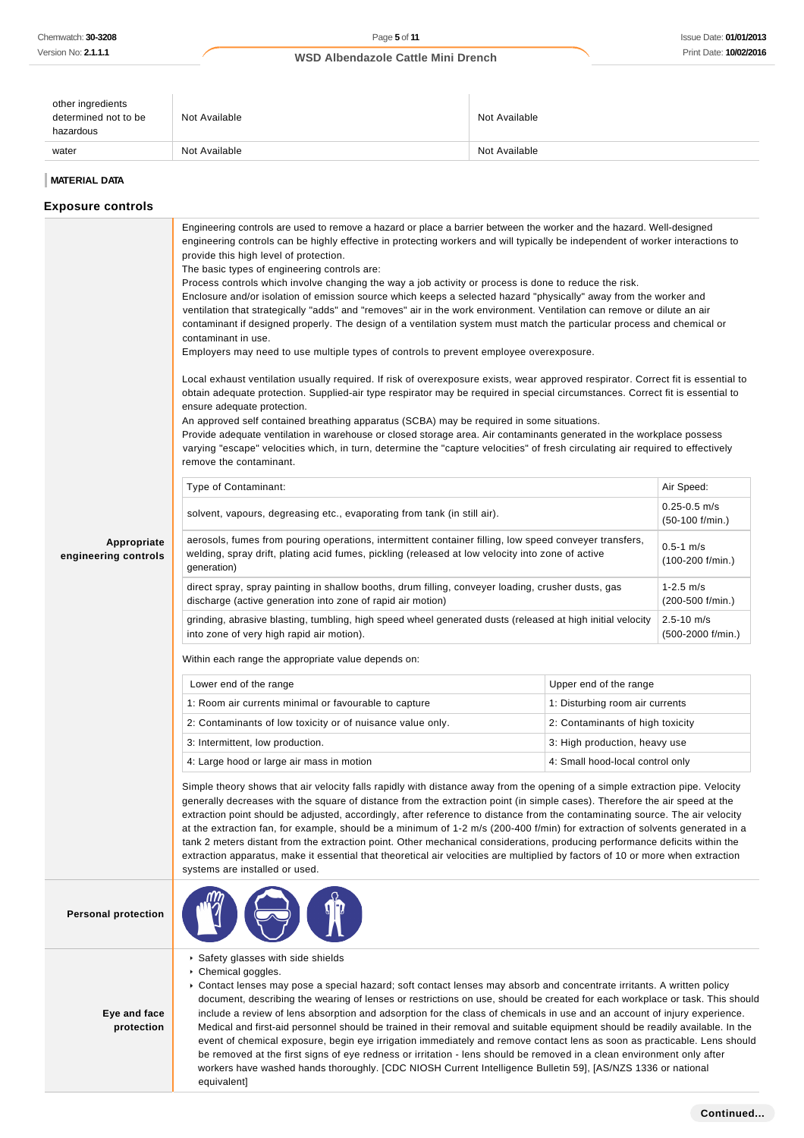| other ingredients<br>determined not to be<br>hazardous | Not Available | Not Available |
|--------------------------------------------------------|---------------|---------------|
| water                                                  | Not Available | Not Available |

#### **MATERIAL DATA**

**Exposure controls**

### **Appropriate engineering controls** Engineering controls are used to remove a hazard or place a barrier between the worker and the hazard. Well-designed engineering controls can be highly effective in protecting workers and will typically be independent of worker interactions to provide this high level of protection. The basic types of engineering controls are: Process controls which involve changing the way a job activity or process is done to reduce the risk. Enclosure and/or isolation of emission source which keeps a selected hazard "physically" away from the worker and ventilation that strategically "adds" and "removes" air in the work environment. Ventilation can remove or dilute an air contaminant if designed properly. The design of a ventilation system must match the particular process and chemical or contaminant in use. Employers may need to use multiple types of controls to prevent employee overexposure. Local exhaust ventilation usually required. If risk of overexposure exists, wear approved respirator. Correct fit is essential to obtain adequate protection. Supplied-air type respirator may be required in special circumstances. Correct fit is essential to ensure adequate protection. An approved self contained breathing apparatus (SCBA) may be required in some situations. Provide adequate ventilation in warehouse or closed storage area. Air contaminants generated in the workplace possess varying "escape" velocities which, in turn, determine the "capture velocities" of fresh circulating air required to effectively remove the contaminant. Type of Contaminant: Air Speed: Air Speed: Air Speed: Air Speed: Air Speed: Air Speed: Air Speed: Air Speed: Air Speed: Air Speed: Air Speed: Air Speed: Air Speed: Air Speed: Air Speed: Air Speed: Air Speed: Air Speed: Air solvent, vapours, degreasing etc., evaporating from tank (in still air).  $0.25-0.5 \text{ m/s}$ (50-100 f/min.) aerosols, fumes from pouring operations, intermittent container filling, low speed conveyer transfers, welding, spray drift, plating acid fumes, pickling (released at low velocity into zone of active generation) 0.5-1 m/s (100-200 f/min.) direct spray, spray painting in shallow booths, drum filling, conveyer loading, crusher dusts, gas discharge (active generation into zone of rapid air motion) 1-2.5 m/s (200-500 f/min.) grinding, abrasive blasting, tumbling, high speed wheel generated dusts (released at high initial velocity into zone of very high rapid air motion).  $2.5 - 10 m/s$ (500-2000 f/min.) Within each range the appropriate value depends on: Lower end of the range Upper end of the range 1: Room air currents minimal or favourable to capture 1: Disturbing room air currents 2: Contaminants of low toxicity or of nuisance value only. 2: Contaminants of high toxicity 3: Intermittent, low production.  $\begin{array}{c|c} \text{3: High production, heavy use} \end{array}$ 4: Large hood or large air mass in motion 4: Small hood-local control only Simple theory shows that air velocity falls rapidly with distance away from the opening of a simple extraction pipe. Velocity generally decreases with the square of distance from the extraction point (in simple cases). Therefore the air speed at the extraction point should be adjusted, accordingly, after reference to distance from the contaminating source. The air velocity at the extraction fan, for example, should be a minimum of 1-2 m/s (200-400 f/min) for extraction of solvents generated in a tank 2 meters distant from the extraction point. Other mechanical considerations, producing performance deficits within the extraction apparatus, make it essential that theoretical air velocities are multiplied by factors of 10 or more when extraction systems are installed or used. **Personal protection Eye and face protection** Safety glasses with side shields ▶ Chemical goggles. Contact lenses may pose a special hazard; soft contact lenses may absorb and concentrate irritants. A written policy document, describing the wearing of lenses or restrictions on use, should be created for each workplace or task. This should include a review of lens absorption and adsorption for the class of chemicals in use and an account of injury experience. Medical and first-aid personnel should be trained in their removal and suitable equipment should be readily available. In the event of chemical exposure, begin eye irrigation immediately and remove contact lens as soon as practicable. Lens should be removed at the first signs of eye redness or irritation - lens should be removed in a clean environment only after workers have washed hands thoroughly. [CDC NIOSH Current Intelligence Bulletin 59], [AS/NZS 1336 or national

equivalent]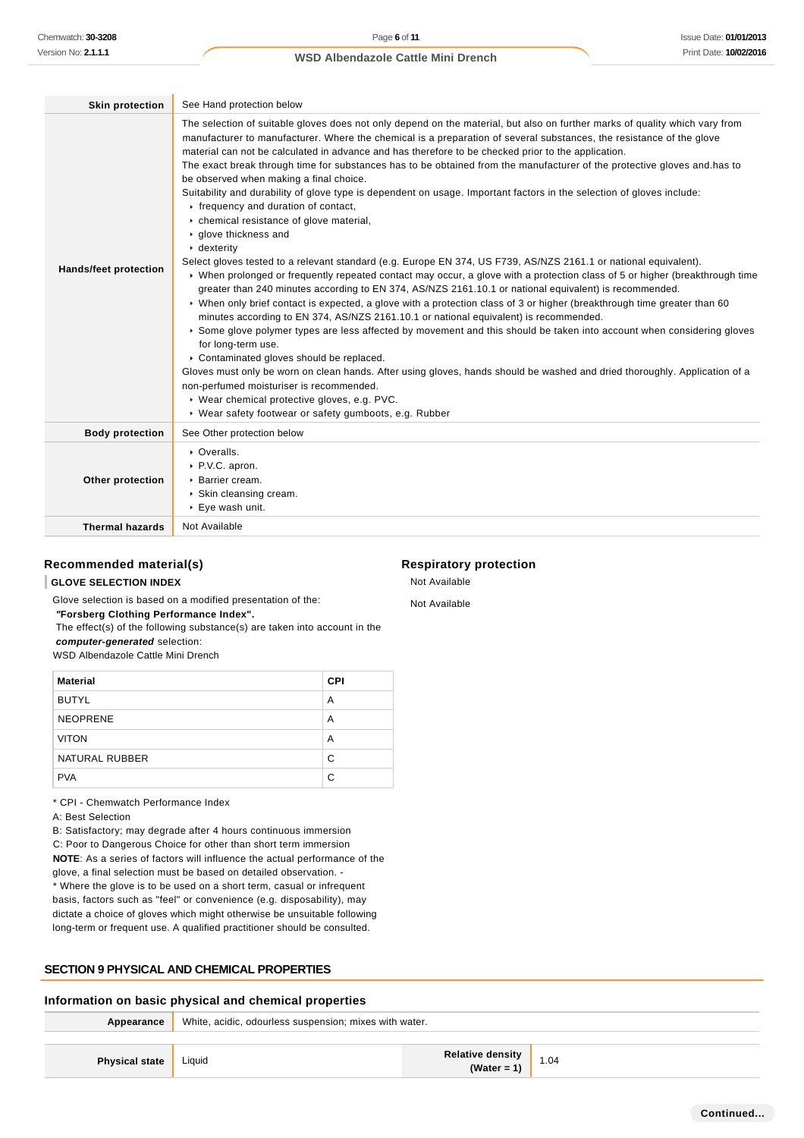| <b>Skin protection</b>       | See Hand protection below                                                                                                                                                                                                                                                                                                                                                                                                                                                                                                                                                                                                                                                                                                                                                                                                                                                                                                                                                                                                                                                                                                                                                                                                                                                                                                                                                                                                                                                                                                                                                                                                                                                                                                                                                                                                                                   |
|------------------------------|-------------------------------------------------------------------------------------------------------------------------------------------------------------------------------------------------------------------------------------------------------------------------------------------------------------------------------------------------------------------------------------------------------------------------------------------------------------------------------------------------------------------------------------------------------------------------------------------------------------------------------------------------------------------------------------------------------------------------------------------------------------------------------------------------------------------------------------------------------------------------------------------------------------------------------------------------------------------------------------------------------------------------------------------------------------------------------------------------------------------------------------------------------------------------------------------------------------------------------------------------------------------------------------------------------------------------------------------------------------------------------------------------------------------------------------------------------------------------------------------------------------------------------------------------------------------------------------------------------------------------------------------------------------------------------------------------------------------------------------------------------------------------------------------------------------------------------------------------------------|
| <b>Hands/feet protection</b> | The selection of suitable gloves does not only depend on the material, but also on further marks of quality which vary from<br>manufacturer to manufacturer. Where the chemical is a preparation of several substances, the resistance of the glove<br>material can not be calculated in advance and has therefore to be checked prior to the application.<br>The exact break through time for substances has to be obtained from the manufacturer of the protective gloves and has to<br>be observed when making a final choice.<br>Suitability and durability of glove type is dependent on usage. Important factors in the selection of gloves include:<br>Firequency and duration of contact,<br>• chemical resistance of glove material,<br>▶ glove thickness and<br>$\cdot$ dexterity<br>Select gloves tested to a relevant standard (e.g. Europe EN 374, US F739, AS/NZS 2161.1 or national equivalent).<br>▶ When prolonged or frequently repeated contact may occur, a glove with a protection class of 5 or higher (breakthrough time<br>greater than 240 minutes according to EN 374, AS/NZS 2161.10.1 or national equivalent) is recommended.<br>• When only brief contact is expected, a glove with a protection class of 3 or higher (breakthrough time greater than 60<br>minutes according to EN 374, AS/NZS 2161.10.1 or national equivalent) is recommended.<br>Some glove polymer types are less affected by movement and this should be taken into account when considering gloves<br>for long-term use.<br>Contaminated gloves should be replaced.<br>Gloves must only be worn on clean hands. After using gloves, hands should be washed and dried thoroughly. Application of a<br>non-perfumed moisturiser is recommended.<br>▶ Wear chemical protective gloves, e.g. PVC.<br>▶ Wear safety footwear or safety gumboots, e.g. Rubber |
| <b>Body protection</b>       | See Other protection below                                                                                                                                                                                                                                                                                                                                                                                                                                                                                                                                                                                                                                                                                                                                                                                                                                                                                                                                                                                                                                                                                                                                                                                                                                                                                                                                                                                                                                                                                                                                                                                                                                                                                                                                                                                                                                  |
| Other protection             | • Overalls.<br>▶ P.V.C. apron.<br>▶ Barrier cream.<br>▶ Skin cleansing cream.<br>▶ Eye wash unit.                                                                                                                                                                                                                                                                                                                                                                                                                                                                                                                                                                                                                                                                                                                                                                                                                                                                                                                                                                                                                                                                                                                                                                                                                                                                                                                                                                                                                                                                                                                                                                                                                                                                                                                                                           |
| <b>Thermal hazards</b>       | Not Available                                                                                                                                                                                                                                                                                                                                                                                                                                                                                                                                                                                                                                                                                                                                                                                                                                                                                                                                                                                                                                                                                                                                                                                                                                                                                                                                                                                                                                                                                                                                                                                                                                                                                                                                                                                                                                               |

### **Recommended material(s)**

### **GLOVE SELECTION INDEX**

Glove selection is based on a modified presentation of the:

 **"Forsberg Clothing Performance Index".**

 The effect(s) of the following substance(s) are taken into account in the **computer-generated** selection:

WSD Albendazole Cattle Mini Drench

| <b>Material</b> | <b>CPI</b> |
|-----------------|------------|
| <b>BUTYL</b>    | Α          |
| <b>NEOPRENE</b> | А          |
| <b>VITON</b>    | А          |
| NATURAL RUBBER  | C          |
| <b>PVA</b>      | C          |

\* CPI - Chemwatch Performance Index

A: Best Selection

B: Satisfactory; may degrade after 4 hours continuous immersion C: Poor to Dangerous Choice for other than short term immersion **NOTE**: As a series of factors will influence the actual performance of the glove, a final selection must be based on detailed observation. - \* Where the glove is to be used on a short term, casual or infrequent basis, factors such as "feel" or convenience (e.g. disposability), may dictate a choice of gloves which might otherwise be unsuitable following long-term or frequent use. A qualified practitioner should be consulted.

### **SECTION 9 PHYSICAL AND CHEMICAL PROPERTIES**

#### **Information on basic physical and chemical properties**

| Appearance            | White, acidic, odourless suspension; mixes with water. |                                 |      |
|-----------------------|--------------------------------------------------------|---------------------------------|------|
|                       |                                                        |                                 |      |
| <b>Physical state</b> | Liquid                                                 | Relative density<br>(Water = 1) | 1.04 |

### **Respiratory protection**

Not Available

Not Available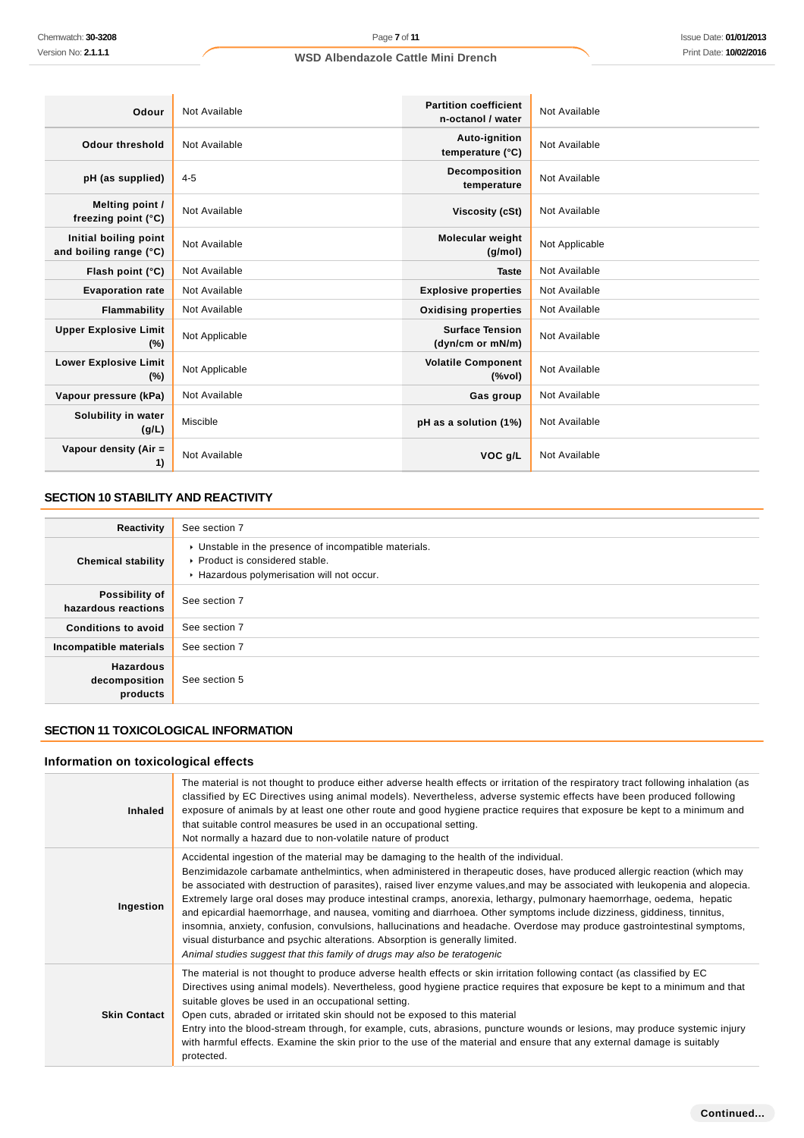| Odour                                           | Not Available  | <b>Partition coefficient</b><br>n-octanol / water                                  | Not Available  |
|-------------------------------------------------|----------------|------------------------------------------------------------------------------------|----------------|
| <b>Odour threshold</b>                          | Not Available  | Auto-ignition<br>temperature (°C)                                                  | Not Available  |
| pH (as supplied)                                | $4 - 5$        | <b>Decomposition</b><br>temperature                                                | Not Available  |
| Melting point /<br>freezing point (°C)          | Not Available  | Viscosity (cSt)                                                                    | Not Available  |
| Initial boiling point<br>and boiling range (°C) | Not Available  | <b>Molecular weight</b><br>(g/mol)                                                 | Not Applicable |
| Flash point (°C)                                | Not Available  | <b>Taste</b>                                                                       | Not Available  |
| <b>Evaporation rate</b>                         | Not Available  | <b>Explosive properties</b>                                                        | Not Available  |
| Flammability                                    | Not Available  | <b>Oxidising properties</b>                                                        | Not Available  |
| <b>Upper Explosive Limit</b><br>$(\%)$          | Not Applicable | <b>Surface Tension</b><br>(dyn/cm or mN/m)                                         | Not Available  |
| <b>Lower Explosive Limit</b><br>(%)             | Not Applicable | <b>Volatile Component</b><br>$(% \mathcal{L}^{\prime }\cap \mathcal{L}^{\prime })$ | Not Available  |
| Vapour pressure (kPa)                           | Not Available  | <b>Gas group</b>                                                                   | Not Available  |
| Solubility in water<br>(g/L)                    | Miscible       | pH as a solution (1%)                                                              | Not Available  |
| Vapour density (Air =<br>1)                     | Not Available  | VOC g/L                                                                            | Not Available  |

# **SECTION 10 STABILITY AND REACTIVITY**

| Reactivity                                    | See section 7                                                                                                                        |
|-----------------------------------------------|--------------------------------------------------------------------------------------------------------------------------------------|
| <b>Chemical stability</b>                     | • Unstable in the presence of incompatible materials.<br>▶ Product is considered stable.<br>Hazardous polymerisation will not occur. |
| Possibility of<br>hazardous reactions         | See section 7                                                                                                                        |
| <b>Conditions to avoid</b>                    | See section 7                                                                                                                        |
| Incompatible materials                        | See section 7                                                                                                                        |
| <b>Hazardous</b><br>decomposition<br>products | See section 5                                                                                                                        |

# **SECTION 11 TOXICOLOGICAL INFORMATION**

# **Information on toxicological effects**

| <b>Inhaled</b>      | The material is not thought to produce either adverse health effects or irritation of the respiratory tract following inhalation (as<br>classified by EC Directives using animal models). Nevertheless, adverse systemic effects have been produced following<br>exposure of animals by at least one other route and good hygiene practice requires that exposure be kept to a minimum and<br>that suitable control measures be used in an occupational setting.<br>Not normally a hazard due to non-volatile nature of product                                                                                                                                                                                                                                                                                                                                                              |
|---------------------|----------------------------------------------------------------------------------------------------------------------------------------------------------------------------------------------------------------------------------------------------------------------------------------------------------------------------------------------------------------------------------------------------------------------------------------------------------------------------------------------------------------------------------------------------------------------------------------------------------------------------------------------------------------------------------------------------------------------------------------------------------------------------------------------------------------------------------------------------------------------------------------------|
| Ingestion           | Accidental ingestion of the material may be damaging to the health of the individual.<br>Benzimidazole carbamate anthelmintics, when administered in therapeutic doses, have produced allergic reaction (which may<br>be associated with destruction of parasites), raised liver enzyme values, and may be associated with leukopenia and alopecia.<br>Extremely large oral doses may produce intestinal cramps, anorexia, lethargy, pulmonary haemorrhage, oedema, hepatic<br>and epicardial haemorrhage, and nausea, vomiting and diarrhoea. Other symptoms include dizziness, giddiness, tinnitus,<br>insomnia, anxiety, confusion, convulsions, hallucinations and headache. Overdose may produce gastrointestinal symptoms,<br>visual disturbance and psychic alterations. Absorption is generally limited.<br>Animal studies suggest that this family of drugs may also be teratogenic |
| <b>Skin Contact</b> | The material is not thought to produce adverse health effects or skin irritation following contact (as classified by EC<br>Directives using animal models). Nevertheless, good hygiene practice requires that exposure be kept to a minimum and that<br>suitable gloves be used in an occupational setting.<br>Open cuts, abraded or irritated skin should not be exposed to this material<br>Entry into the blood-stream through, for example, cuts, abrasions, puncture wounds or lesions, may produce systemic injury<br>with harmful effects. Examine the skin prior to the use of the material and ensure that any external damage is suitably<br>protected.                                                                                                                                                                                                                            |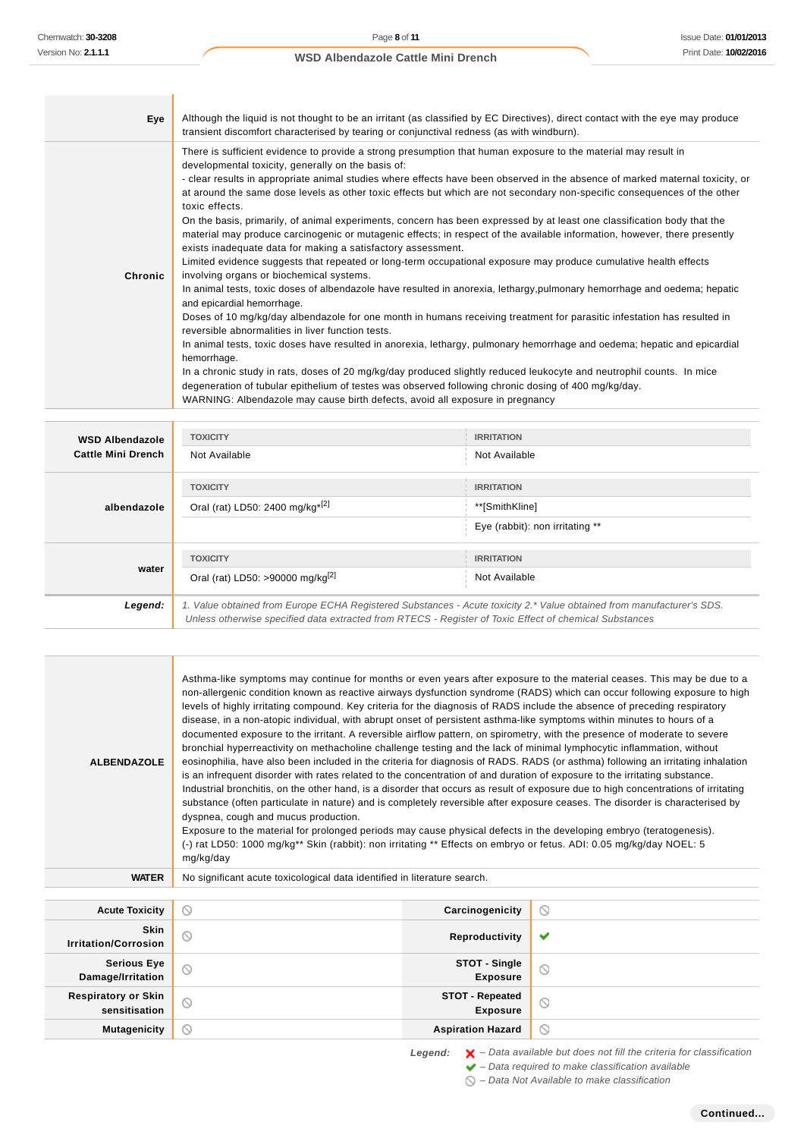| Eye     | Although the liquid is not thought to be an irritant (as classified by EC Directives), direct contact with the eye may produce<br>transient discomfort characterised by tearing or conjunctival redness (as with windburn).                                                                                                                                                                                                                                                                                                                                                                                                                                                                                                                                                                                                                                                                                                                                                                                                                                                                                                                                                                                                                                                                                                                                                                                                                                                                                                                                                                                                                                                                                                                         |
|---------|-----------------------------------------------------------------------------------------------------------------------------------------------------------------------------------------------------------------------------------------------------------------------------------------------------------------------------------------------------------------------------------------------------------------------------------------------------------------------------------------------------------------------------------------------------------------------------------------------------------------------------------------------------------------------------------------------------------------------------------------------------------------------------------------------------------------------------------------------------------------------------------------------------------------------------------------------------------------------------------------------------------------------------------------------------------------------------------------------------------------------------------------------------------------------------------------------------------------------------------------------------------------------------------------------------------------------------------------------------------------------------------------------------------------------------------------------------------------------------------------------------------------------------------------------------------------------------------------------------------------------------------------------------------------------------------------------------------------------------------------------------|
| Chronic | There is sufficient evidence to provide a strong presumption that human exposure to the material may result in<br>developmental toxicity, generally on the basis of:<br>- clear results in appropriate animal studies where effects have been observed in the absence of marked maternal toxicity, or<br>at around the same dose levels as other toxic effects but which are not secondary non-specific consequences of the other<br>toxic effects.<br>On the basis, primarily, of animal experiments, concern has been expressed by at least one classification body that the<br>material may produce carcinogenic or mutagenic effects; in respect of the available information, however, there presently<br>exists inadequate data for making a satisfactory assessment.<br>Limited evidence suggests that repeated or long-term occupational exposure may produce cumulative health effects<br>involving organs or biochemical systems.<br>In animal tests, toxic doses of albendazole have resulted in anorexia, lethargy, pulmonary hemorrhage and oedema; hepatic<br>and epicardial hemorrhage.<br>Doses of 10 mg/kg/day albendazole for one month in humans receiving treatment for parasitic infestation has resulted in<br>reversible abnormalities in liver function tests.<br>In animal tests, toxic doses have resulted in anorexia, lethargy, pulmonary hemorrhage and oedema; hepatic and epicardial<br>hemorrhage.<br>In a chronic study in rats, doses of 20 mg/kg/day produced slightly reduced leukocyte and neutrophil counts. In mice<br>degeneration of tubular epithelium of testes was observed following chronic dosing of 400 mg/kg/day.<br>WARNING: Albendazole may cause birth defects, avoid all exposure in pregnancy |

| <b>WSD Albendazole</b><br><b>Cattle Mini Drench</b> | <b>TOXICITY</b>                                                                                                                                                                                                                 | <b>IRRITATION</b>               |
|-----------------------------------------------------|---------------------------------------------------------------------------------------------------------------------------------------------------------------------------------------------------------------------------------|---------------------------------|
|                                                     | Not Available                                                                                                                                                                                                                   | Not Available                   |
|                                                     | <b>TOXICITY</b>                                                                                                                                                                                                                 | <b>IRRITATION</b>               |
| albendazole                                         | Oral (rat) LD50: 2400 mg/kg <sup>*[2]</sup>                                                                                                                                                                                     | **[SmithKline]                  |
|                                                     |                                                                                                                                                                                                                                 | Eye (rabbit): non irritating ** |
| water                                               | <b>TOXICITY</b>                                                                                                                                                                                                                 | <b>IRRITATION</b>               |
|                                                     | Oral (rat) LD50: >90000 mg/kg <sup>[2]</sup>                                                                                                                                                                                    | Not Available                   |
| Legend:                                             | 1. Value obtained from Europe ECHA Registered Substances - Acute toxicity 2.* Value obtained from manufacturer's SDS.<br>Unless otherwise specified data extracted from RTECS - Register of Toxic Effect of chemical Substances |                                 |

| <b>ALBENDAZOLE</b> | Asthma-like symptoms may continue for months or even years after exposure to the material ceases. This may be due to a<br>non-allergenic condition known as reactive airways dysfunction syndrome (RADS) which can occur following exposure to high<br>levels of highly irritating compound. Key criteria for the diagnosis of RADS include the absence of preceding respiratory<br>disease, in a non-atopic individual, with abrupt onset of persistent asthma-like symptoms within minutes to hours of a<br>documented exposure to the irritant. A reversible airflow pattern, on spirometry, with the presence of moderate to severe<br>bronchial hyperreactivity on methacholine challenge testing and the lack of minimal lymphocytic inflammation, without<br>eosinophilia, have also been included in the criteria for diagnosis of RADS. RADS (or asthma) following an irritating inhalation<br>is an infrequent disorder with rates related to the concentration of and duration of exposure to the irritating substance.<br>Industrial bronchitis, on the other hand, is a disorder that occurs as result of exposure due to high concentrations of irritating<br>substance (often particulate in nature) and is completely reversible after exposure ceases. The disorder is characterised by<br>dyspnea, cough and mucus production.<br>Exposure to the material for prolonged periods may cause physical defects in the developing embryo (teratogenesis).<br>(-) rat LD50: 1000 mg/kg** Skin (rabbit): non irritating ** Effects on embryo or fetus. ADI: 0.05 mg/kg/day NOEL: 5<br>mg/kg/day |
|--------------------|-------------------------------------------------------------------------------------------------------------------------------------------------------------------------------------------------------------------------------------------------------------------------------------------------------------------------------------------------------------------------------------------------------------------------------------------------------------------------------------------------------------------------------------------------------------------------------------------------------------------------------------------------------------------------------------------------------------------------------------------------------------------------------------------------------------------------------------------------------------------------------------------------------------------------------------------------------------------------------------------------------------------------------------------------------------------------------------------------------------------------------------------------------------------------------------------------------------------------------------------------------------------------------------------------------------------------------------------------------------------------------------------------------------------------------------------------------------------------------------------------------------------------------------------------------------------------------------------------------------|
| <b>WATER</b>       | No significant acute toxicological data identified in literature search.                                                                                                                                                                                                                                                                                                                                                                                                                                                                                                                                                                                                                                                                                                                                                                                                                                                                                                                                                                                                                                                                                                                                                                                                                                                                                                                                                                                                                                                                                                                                    |

| <b>Acute Toxicity</b>                       | $\circ$             | Carcinogenicity                           | $\odot$        |
|---------------------------------------------|---------------------|-------------------------------------------|----------------|
| <b>Skin</b><br><b>Irritation/Corrosion</b>  | $\circ$             | Reproductivity                            | $\checkmark$   |
| <b>Serious Eye</b><br>Damage/Irritation     | $\circledcirc$      | <b>STOT - Single</b><br><b>Exposure</b>   | $\odot$        |
| <b>Respiratory or Skin</b><br>sensitisation | $\circlearrowright$ | <b>STOT - Repeated</b><br><b>Exposure</b> | $\odot$        |
| <b>Mutagenicity</b>                         | $\circ$             | <b>Aspiration Hazard</b>                  | $\circledcirc$ |

Legend:  $\mathsf{X}$  - Data available but does not fill the criteria for classification  $\blacktriangleright$  – Data required to make classification available

 $\bigcirc$  – Data Not Available to make classification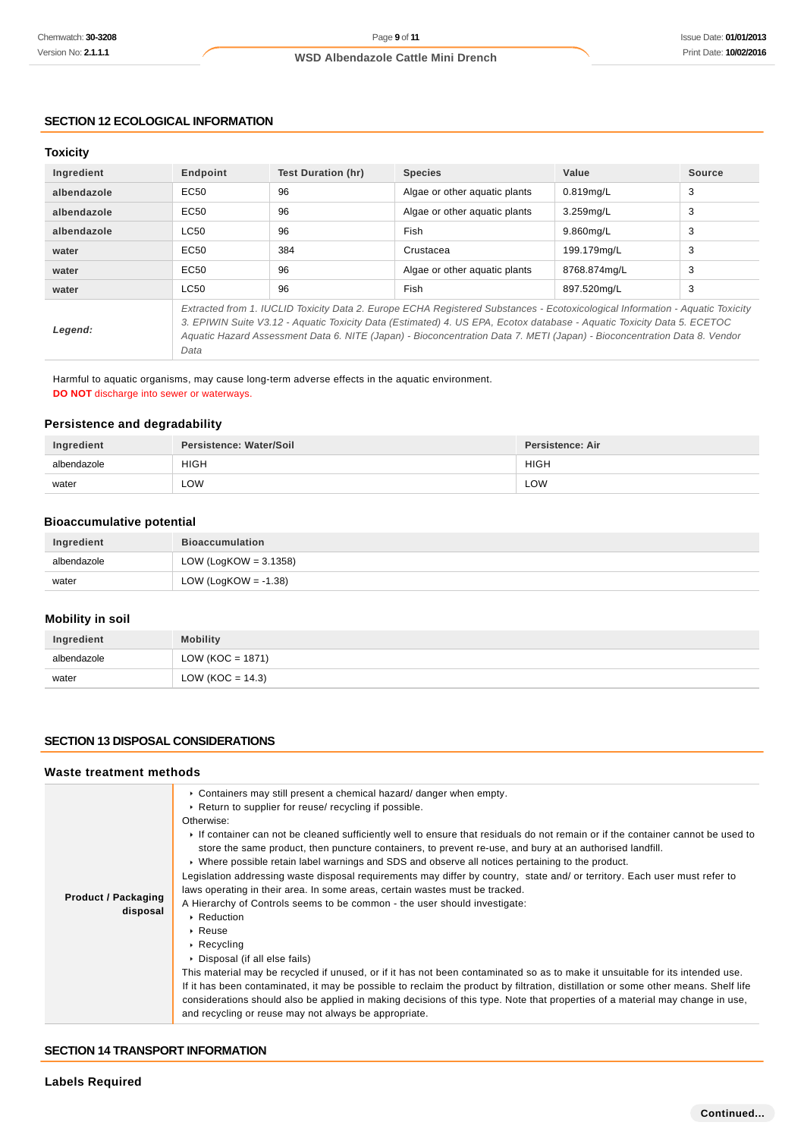### **SECTION 12 ECOLOGICAL INFORMATION**

### **Toxicity**

| Ingredient  | Endpoint                                                                                                                                                                                                                                                                                                                                                                            | <b>Test Duration (hr)</b> | <b>Species</b>                | Value        | <b>Source</b> |
|-------------|-------------------------------------------------------------------------------------------------------------------------------------------------------------------------------------------------------------------------------------------------------------------------------------------------------------------------------------------------------------------------------------|---------------------------|-------------------------------|--------------|---------------|
| albendazole | EC50                                                                                                                                                                                                                                                                                                                                                                                | 96                        | Algae or other aquatic plants | 0.819mg/L    | 3             |
| albendazole | EC50                                                                                                                                                                                                                                                                                                                                                                                | 96                        | Algae or other aquatic plants | 3.259mg/L    | 3             |
| albendazole | <b>LC50</b>                                                                                                                                                                                                                                                                                                                                                                         | 96                        | Fish                          | 9.860mg/L    | 3             |
| water       | EC50                                                                                                                                                                                                                                                                                                                                                                                | 384                       | Crustacea                     | 199.179mg/L  | 3             |
| water       | EC50                                                                                                                                                                                                                                                                                                                                                                                | 96                        | Algae or other aguatic plants | 8768.874ma/L | 3             |
| water       | <b>LC50</b>                                                                                                                                                                                                                                                                                                                                                                         | 96                        | Fish                          | 897.520mg/L  | 3             |
| Legend:     | Extracted from 1. IUCLID Toxicity Data 2. Europe ECHA Registered Substances - Ecotoxicological Information - Aquatic Toxicity<br>3. EPIWIN Suite V3.12 - Aquatic Toxicity Data (Estimated) 4. US EPA, Ecotox database - Aquatic Toxicity Data 5. ECETOC<br>Aquatic Hazard Assessment Data 6. NITE (Japan) - Bioconcentration Data 7. METI (Japan) - Bioconcentration Data 8. Vendor |                           |                               |              |               |

Harmful to aquatic organisms, may cause long-term adverse effects in the aquatic environment. **DO NOT** discharge into sewer or waterways.

### **Persistence and degradability**

Data

| Ingredient  | Persistence: Water/Soil | <b>Persistence: Air</b> |
|-------------|-------------------------|-------------------------|
| albendazole | <b>HIGH</b>             | <b>HIGH</b>             |
| water       | ∟OW                     | LOW                     |

# **Bioaccumulative potential**

| Ingredient  | <b>Bioaccumulation</b>   |
|-------------|--------------------------|
| albendazole | LOW (LogKOW = $3.1358$ ) |
| water       | LOW (LogKOW = -1.38)     |

# **Mobility in soil**

| Ingredient  | <b>Mobility</b>     |
|-------------|---------------------|
| albendazole | LOW (KOC = 1871)    |
| water       | LOW (KOC = $14.3$ ) |

### **SECTION 13 DISPOSAL CONSIDERATIONS**

#### **Waste treatment methods**

| <b>Product / Packaging</b><br>disposal | $\triangleright$ Containers may still present a chemical hazard/ danger when empty.<br>▶ Return to supplier for reuse/ recycling if possible.<br>Otherwise:<br>If container can not be cleaned sufficiently well to ensure that residuals do not remain or if the container cannot be used to<br>store the same product, then puncture containers, to prevent re-use, and bury at an authorised landfill.<br>► Where possible retain label warnings and SDS and observe all notices pertaining to the product.<br>Legislation addressing waste disposal requirements may differ by country, state and/ or territory. Each user must refer to<br>laws operating in their area. In some areas, certain wastes must be tracked.<br>A Hierarchy of Controls seems to be common - the user should investigate:<br>▶ Reduction<br>$\triangleright$ Reuse<br>$\triangleright$ Recycling<br>▶ Disposal (if all else fails)<br>This material may be recycled if unused, or if it has not been contaminated so as to make it unsuitable for its intended use.<br>If it has been contaminated, it may be possible to reclaim the product by filtration, distillation or some other means. Shelf life<br>considerations should also be applied in making decisions of this type. Note that properties of a material may change in use,<br>and recycling or reuse may not always be appropriate. |
|----------------------------------------|-------------------------------------------------------------------------------------------------------------------------------------------------------------------------------------------------------------------------------------------------------------------------------------------------------------------------------------------------------------------------------------------------------------------------------------------------------------------------------------------------------------------------------------------------------------------------------------------------------------------------------------------------------------------------------------------------------------------------------------------------------------------------------------------------------------------------------------------------------------------------------------------------------------------------------------------------------------------------------------------------------------------------------------------------------------------------------------------------------------------------------------------------------------------------------------------------------------------------------------------------------------------------------------------------------------------------------------------------------------------------------------|
|----------------------------------------|-------------------------------------------------------------------------------------------------------------------------------------------------------------------------------------------------------------------------------------------------------------------------------------------------------------------------------------------------------------------------------------------------------------------------------------------------------------------------------------------------------------------------------------------------------------------------------------------------------------------------------------------------------------------------------------------------------------------------------------------------------------------------------------------------------------------------------------------------------------------------------------------------------------------------------------------------------------------------------------------------------------------------------------------------------------------------------------------------------------------------------------------------------------------------------------------------------------------------------------------------------------------------------------------------------------------------------------------------------------------------------------|

#### **SECTION 14 TRANSPORT INFORMATION**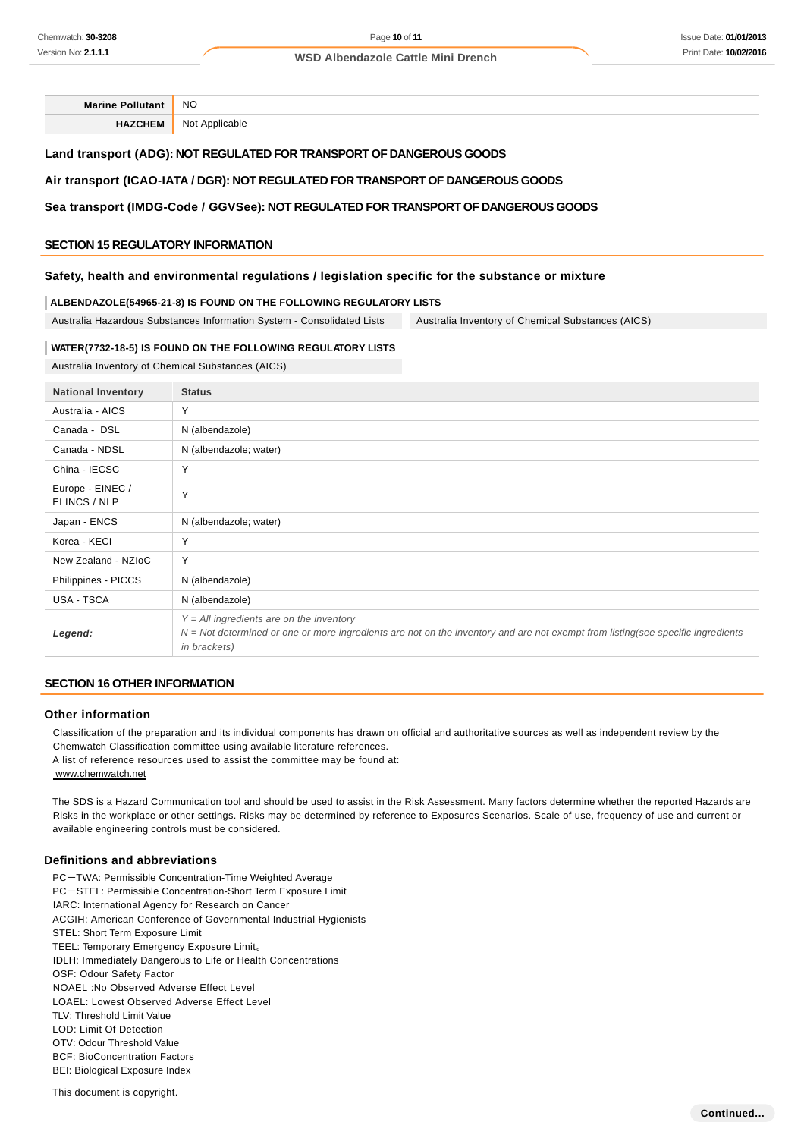#### Issue Date: **01/01/2013** Print Date: **10/02/2016**

#### **WSD Albendazole Cattle Mini Drench**

**Marine Pollutant** NO

**HAZCHEM** Not Applicable

### **Land transport (ADG): NOT REGULATED FOR TRANSPORT OF DANGEROUS GOODS**

### **Air transport (ICAO-IATA / DGR): NOT REGULATED FOR TRANSPORT OF DANGEROUS GOODS**

### **Sea transport (IMDG-Code / GGVSee): NOT REGULATED FOR TRANSPORT OF DANGEROUS GOODS**

### **SECTION 15 REGULATORY INFORMATION**

#### **Safety, health and environmental regulations / legislation specific for the substance or mixture**

#### **ALBENDAZOLE(54965-21-8) IS FOUND ON THE FOLLOWING REGULATORY LISTS**

Australia Hazardous Substances Information System - Consolidated Lists Australia Inventory of Chemical Substances (AICS)

#### **WATER(7732-18-5) IS FOUND ON THE FOLLOWING REGULATORY LISTS**

Australia Inventory of Chemical Substances (AICS)

| <b>National Inventory</b>        | <b>Status</b>                                                                                                                                                                                           |
|----------------------------------|---------------------------------------------------------------------------------------------------------------------------------------------------------------------------------------------------------|
| Australia - AICS                 | Y                                                                                                                                                                                                       |
| Canada - DSL                     | N (albendazole)                                                                                                                                                                                         |
| Canada - NDSL                    | N (albendazole; water)                                                                                                                                                                                  |
| China - IECSC                    | Y                                                                                                                                                                                                       |
| Europe - EINEC /<br>ELINCS / NLP | Y                                                                                                                                                                                                       |
| Japan - ENCS                     | N (albendazole; water)                                                                                                                                                                                  |
| Korea - KECI                     | Y                                                                                                                                                                                                       |
| New Zealand - NZIoC              | Y                                                                                                                                                                                                       |
| Philippines - PICCS              | N (albendazole)                                                                                                                                                                                         |
| USA - TSCA                       | N (albendazole)                                                                                                                                                                                         |
| Legend:                          | $Y = All$ ingredients are on the inventory<br>$N = Not$ determined or one or more ingredients are not on the inventory and are not exempt from listing(see specific ingredients<br><i>in brackets</i> ) |

### **SECTION 16 OTHER INFORMATION**

#### **Other information**

Classification of the preparation and its individual components has drawn on official and authoritative sources as well as independent review by the Chemwatch Classification committee using available literature references.

A list of reference resources used to assist the committee may be found at: www.chemwatch.net

The SDS is a Hazard Communication tool and should be used to assist in the Risk Assessment. Many factors determine whether the reported Hazards are Risks in the workplace or other settings. Risks may be determined by reference to Exposures Scenarios. Scale of use, frequency of use and current or available engineering controls must be considered.

#### **Definitions and abbreviations**

PC-TWA: Permissible Concentration-Time Weighted Average PC-STEL: Permissible Concentration-Short Term Exposure Limit IARC: International Agency for Research on Cancer ACGIH: American Conference of Governmental Industrial Hygienists STEL: Short Term Exposure Limit TEEL: Temporary Emergency Exposure Limit。 IDLH: Immediately Dangerous to Life or Health Concentrations OSF: Odour Safety Factor NOAEL :No Observed Adverse Effect Level LOAEL: Lowest Observed Adverse Effect Level TLV: Threshold Limit Value LOD: Limit Of Detection OTV: Odour Threshold Value BCF: BioConcentration Factors BEI: Biological Exposure Index

This document is copyright.